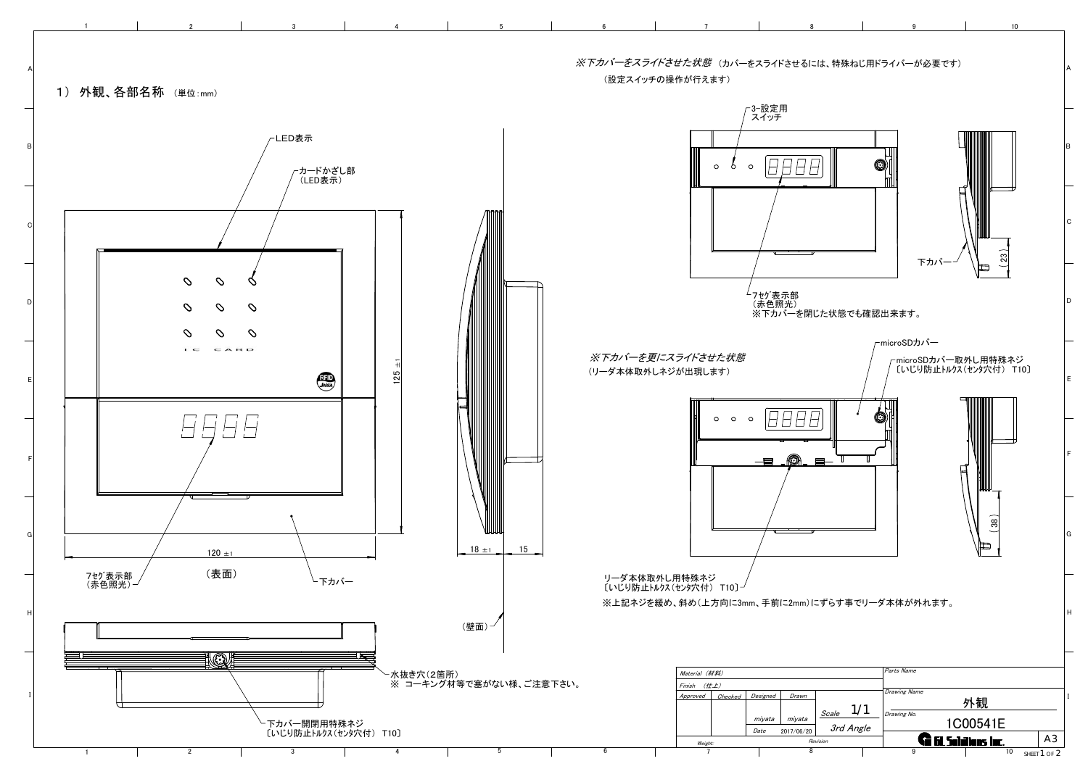